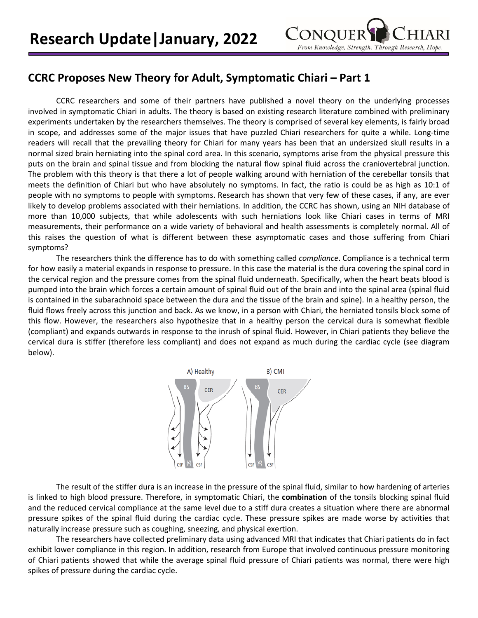

## **CCRC Proposes New Theory for Adult, Symptomatic Chiari – Part 1**

CCRC researchers and some of their partners have published a novel theory on the underlying processes involved in symptomatic Chiari in adults. The theory is based on existing research literature combined with preliminary experiments undertaken by the researchers themselves. The theory is comprised of several key elements, is fairly broad in scope, and addresses some of the major issues that have puzzled Chiari researchers for quite a while. Long-time readers will recall that the prevailing theory for Chiari for many years has been that an undersized skull results in a normal sized brain herniating into the spinal cord area. In this scenario, symptoms arise from the physical pressure this puts on the brain and spinal tissue and from blocking the natural flow spinal fluid across the craniovertebral junction. The problem with this theory is that there a lot of people walking around with herniation of the cerebellar tonsils that meets the definition of Chiari but who have absolutely no symptoms. In fact, the ratio is could be as high as 10:1 of people with no symptoms to people with symptoms. Research has shown that very few of these cases, if any, are ever likely to develop problems associated with their herniations. In addition, the CCRC has shown, using an NIH database of more than 10,000 subjects, that while adolescents with such herniations look like Chiari cases in terms of MRI measurements, their performance on a wide variety of behavioral and health assessments is completely normal. All of this raises the question of what is different between these asymptomatic cases and those suffering from Chiari symptoms?

The researchers think the difference has to do with something called *compliance*. Compliance is a technical term for how easily a material expands in response to pressure. In this case the material is the dura covering the spinal cord in the cervical region and the pressure comes from the spinal fluid underneath. Specifically, when the heart beats blood is pumped into the brain which forces a certain amount of spinal fluid out of the brain and into the spinal area (spinal fluid is contained in the subarachnoid space between the dura and the tissue of the brain and spine). In a healthy person, the fluid flows freely across this junction and back. As we know, in a person with Chiari, the herniated tonsils block some of this flow. However, the researchers also hypothesize that in a healthy person the cervical dura is somewhat flexible (compliant) and expands outwards in response to the inrush of spinal fluid. However, in Chiari patients they believe the cervical dura is stiffer (therefore less compliant) and does not expand as much during the cardiac cycle (see diagram below).



The result of the stiffer dura is an increase in the pressure of the spinal fluid, similar to how hardening of arteries is linked to high blood pressure. Therefore, in symptomatic Chiari, the **combination** of the tonsils blocking spinal fluid and the reduced cervical compliance at the same level due to a stiff dura creates a situation where there are abnormal pressure spikes of the spinal fluid during the cardiac cycle. These pressure spikes are made worse by activities that naturally increase pressure such as coughing, sneezing, and physical exertion.

The researchers have collected preliminary data using advanced MRI that indicates that Chiari patients do in fact exhibit lower compliance in this region. In addition, research from Europe that involved continuous pressure monitoring of Chiari patients showed that while the average spinal fluid pressure of Chiari patients was normal, there were high spikes of pressure during the cardiac cycle.